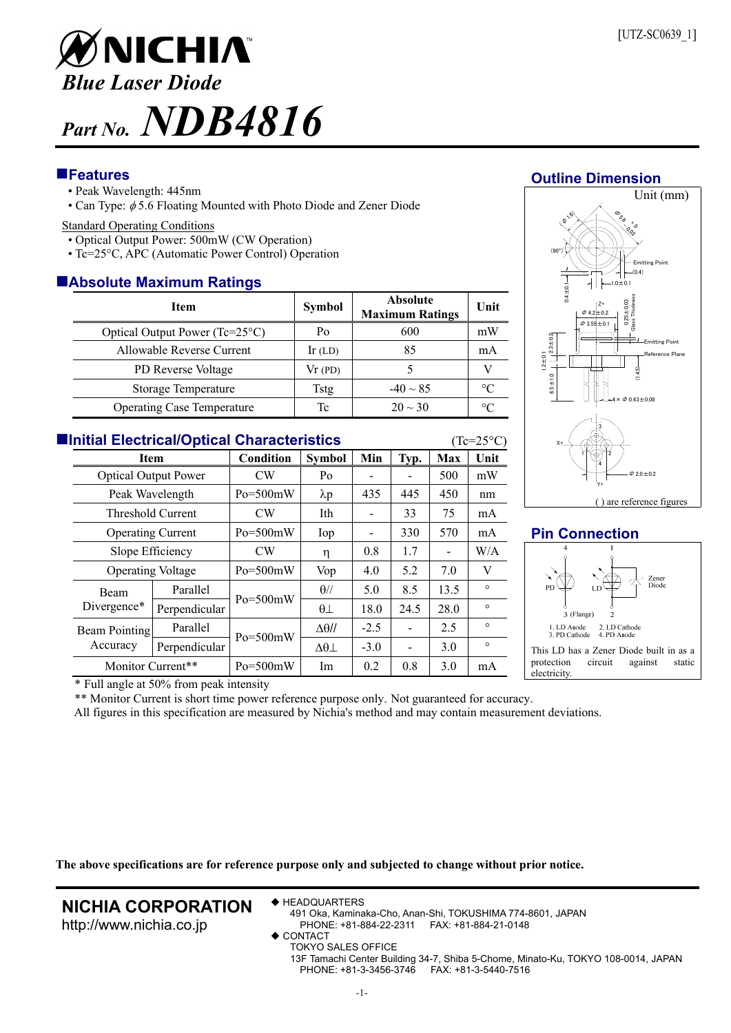

# **Features**

- Peak Wavelength: 445nm
- Can Type:  $\phi$  5.6 Floating Mounted with Photo Diode and Zener Diode

#### Standard Operating Conditions

- Optical Output Power: 500mW (CW Operation)
- Tc=25°C, APC (Automatic Power Control) Operation

# **Absolute Maximum Ratings**

| <b>Item</b>                       | <b>Symbol</b> | <b>Absolute</b><br><b>Maximum Ratings</b> | Unit            |  |  |  |  |  |
|-----------------------------------|---------------|-------------------------------------------|-----------------|--|--|--|--|--|
| Optical Output Power (Tc=25°C)    | Po            | 600                                       | mW              |  |  |  |  |  |
| Allowable Reverse Current         | $Ir$ (LD)     | 85                                        | mA              |  |  |  |  |  |
| PD Reverse Voltage                | Vr(PD)        |                                           |                 |  |  |  |  |  |
| Storage Temperature               | Tstg          | $-40 \sim 85$                             | $\rm ^{\circ}C$ |  |  |  |  |  |
| <b>Operating Case Temperature</b> | Тc            | $20 \sim 30$                              | °C              |  |  |  |  |  |

| <b>Elnitial Electrical/Optical Characteristics</b><br>$(Tc=25^{\circ}C)$ |                             |              |                     |        |      |                |         |  |  |
|--------------------------------------------------------------------------|-----------------------------|--------------|---------------------|--------|------|----------------|---------|--|--|
|                                                                          | <b>Item</b>                 |              | <b>Symbol</b>       | Min    | Typ. | Max            | Unit    |  |  |
|                                                                          | <b>Optical Output Power</b> |              | Po                  |        |      | 500            | mW      |  |  |
|                                                                          | Peak Wavelength             |              | $\lambda p$         | 435    | 445  | 450            | nm      |  |  |
|                                                                          | Threshold Current           |              | Ith                 |        | 33   | 75             | mA      |  |  |
|                                                                          | <b>Operating Current</b>    |              | Iop                 |        | 330  | 570            | mA      |  |  |
|                                                                          | Slope Efficiency            |              | η                   | 0.8    | 1.7  | $\blacksquare$ | W/A     |  |  |
|                                                                          | <b>Operating Voltage</b>    |              | Vop                 | 4.0    | 5.2  | 7.0            | V       |  |  |
| <b>Beam</b><br>Divergence*                                               | Parallel                    | $Po = 500mW$ | $\theta$ //         | 5.0    | 8.5  | 13.5           | $\circ$ |  |  |
|                                                                          | Perpendicular               |              | $\theta\bot$        | 18.0   | 24.5 | 28.0           | $\circ$ |  |  |
| Beam Pointing<br>Accuracy                                                | Parallel                    | $Po = 500mW$ | $\Delta\theta$ //   | $-2.5$ |      | 2.5            | $\circ$ |  |  |
|                                                                          | Perpendicular               |              | $\Delta\theta\perp$ | $-3.0$ |      | 3.0            | $\circ$ |  |  |
|                                                                          | Monitor Current**           |              | Im                  | 0.2    | 0.8  | 3.0            | mA      |  |  |

#### Unit (mm) (0.4) (90°) 0.4±0.1  $\frac{1}{\sqrt{2}}$ -  $\overline{\phantom{a}}$  $\frac{1}{2}$ 0.25±0.03 Glass Thickness  $\varphi$  4.2  $\pm$  0.2 1.0±0.1 Emitting Point Z+ (B 16)

**Outline Dimension**



# **Pin Connection**



\* Full angle at 50% from peak intensity

\*\* Monitor Current is short time power reference purpose only. Not guaranteed for accuracy.

All figures in this specification are measured by Nichia's method and may contain measurement deviations.

**The above specifications are for reference purpose only and subjected to change without prior notice.**

# **NICHIA CORPORATION**

http://www.nichia.co.jp

◆ HEADQUARTERS

491 Oka, Kaminaka-Cho, Anan-Shi, TOKUSHIMA 774-8601, JAPAN PHONE: +81-884-22-2311 FAX: +81-884-21-0148

- **CONTACT** 
	- TOKYO SALES OFFICE 13F Tamachi Center Building 34-7, Shiba 5-Chome, Minato-Ku, TOKYO 108-0014, JAPAN PHONE: +81-3-3456-3746 FAX: +81-3-5440-7516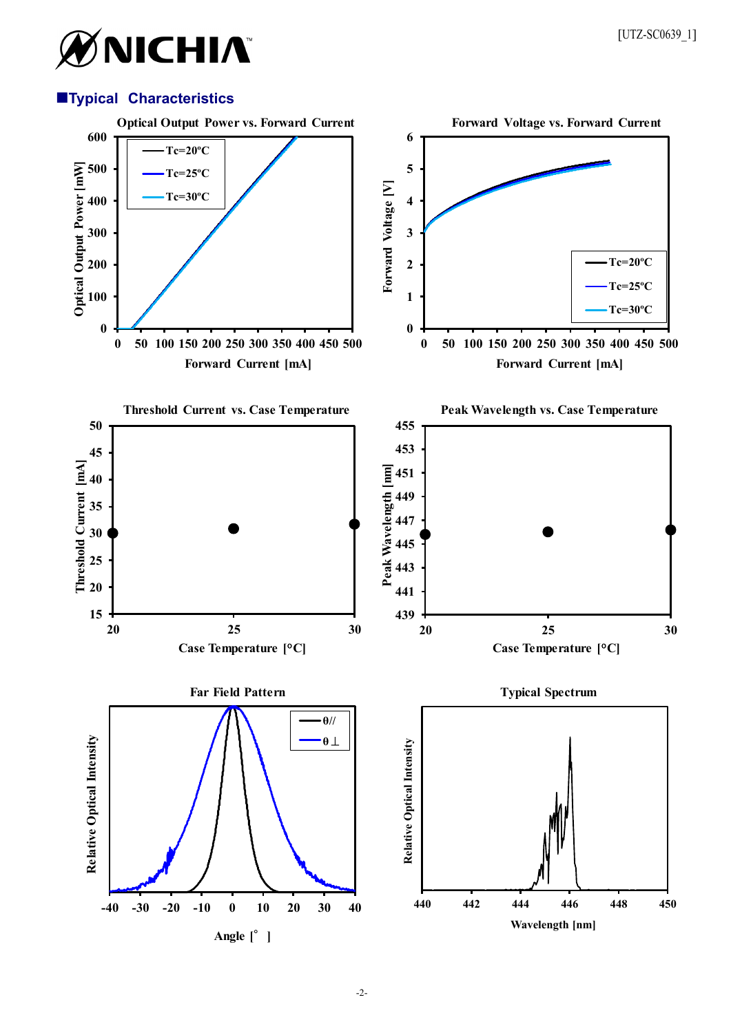# ØNICHIA®

# **Typical Characteristics**